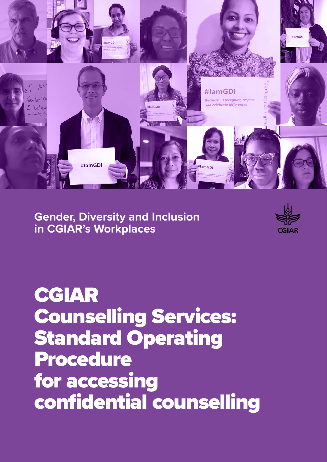

**Gender, Diversity and Inclusion in CGIAR's Workplaces**



CGIAR Counselling Services: Standard Operating Procedure for accessing confidential counselling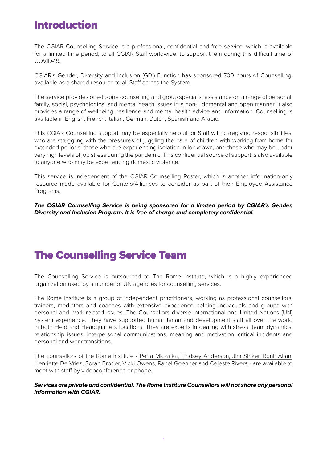### Introduction

The CGIAR Counselling Service is a professional, confidential and free service, which is available for a limited time period, to all CGIAR Staff worldwide, to support them during this difficult time of COVID-19.

CGIAR's Gender, Diversity and Inclusion (GDI) Function has sponsored 700 hours of Counselling, available as a shared resource to all Staff across the System.

The service provides one-to-one counselling and group specialist assistance on a range of personal, family, social, psychological and mental health issues in a non-judgmental and open manner. It also provides a range of wellbeing, resilience and mental health advice and information. Counselling is available in English, French, Italian, German, Dutch, Spanish and Arabic.

This CGIAR Counselling support may be especially helpful for Staff with caregiving responsibilities, who are struggling with the pressures of juggling the care of children with working from home for extended periods, those who are experiencing isolation in lockdown, and those who may be under very high levels of job stress during the pandemic. This confidential source of support is also available to anyone who may be experiencing domestic violence.

This service is independent of the CGIAR Counselling Roster, which is another information-only resource made available for Centers/Alliances to consider as part of their Employee Assistance Programs.

**The CGIAR Counselling Service is being sponsored for a limited period by CGIAR's Gender, Diversity and Inclusion Program. It is free of charge and completely confidential.**

### The Counselling Service Team

The Counselling Service is outsourced to The Rome Institute, which is a highly experienced organization used by a number of UN agencies for counselling services.

The Rome Institute is a group of independent practitioners, working as professional counsellors, trainers, mediators and coaches with extensive experience helping individuals and groups with personal and work-related issues. The Counsellors diverse international and United Nations (UN) System experience. They have supported humanitarian and development staff all over the world in both Field and Headquarters locations. They are experts in dealing with stress, team dynamics, relationship issues, interpersonal communications, meaning and motivation, critical incidents and personal and work transitions.

The counsellors of the Rome Institute - Petra Miczaika, Lindsey Anderson, Jim Striker, Ronit Atlan, Henriette De Vries, Sorah Broder, Vicki Owens, Rahel Goenner and Celeste Rivera - are available to meet with staff by videoconference or phone.

**Services are private and confidential. The Rome Institute Counsellors will not share any personal information with CGIAR.**